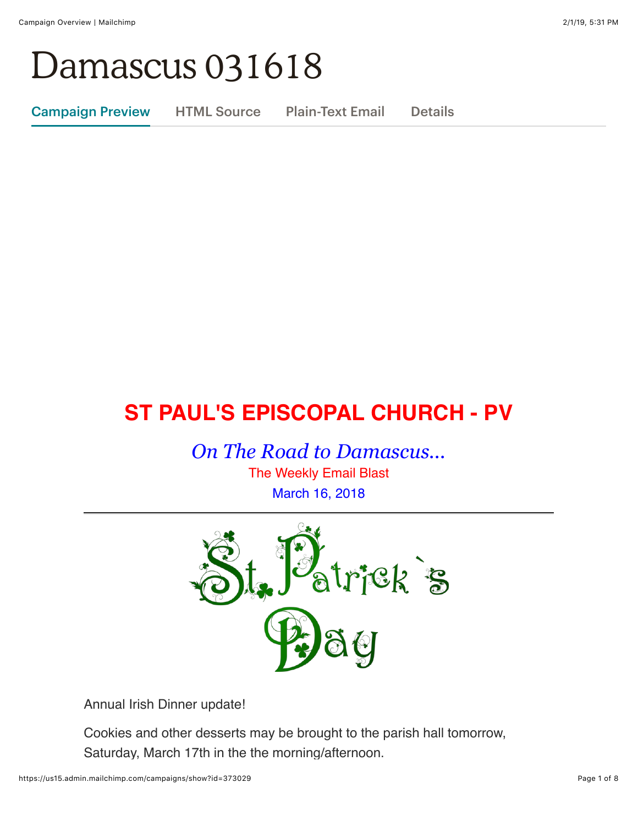# Damascus 031618

Campaign Preview HTML Source Plain-Text Email Details

# **ST PAUL'S EPISCOPAL CHURCH - PV**

*On The Road to Damascus...*

The Weekly Email Blast March 16, 2018



Annual Irish Dinner update!

Cookies and other desserts may be brought to the parish hall tomorrow, Saturday, March 17th in the the morning/afternoon.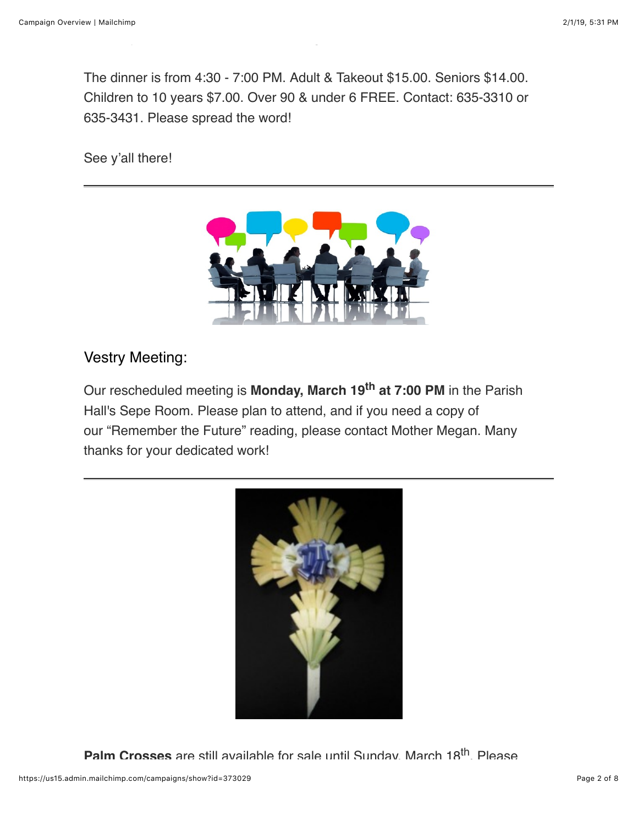The dinner is from 4:30 - 7:00 PM. Adult & Takeout \$15.00. Seniors \$14.00. Children to 10 years \$7.00. Over 90 & under 6 FREE. Contact: 635-3310 or 635-3431. Please spread the word!

Saturday, March 17th in the the morning/afternoon.

See y'all there!



### Vestry Meeting:

Our rescheduled meeting is **Monday, March 19th at 7:00 PM** in the Parish Hall's Sepe Room. Please plan to attend, and if you need a copy of our "Remember the Future" reading, please contact Mother Megan. Many thanks for your dedicated work!



Palm Crosses are still available for sale until Sunday, March 18<sup>th</sup>. Please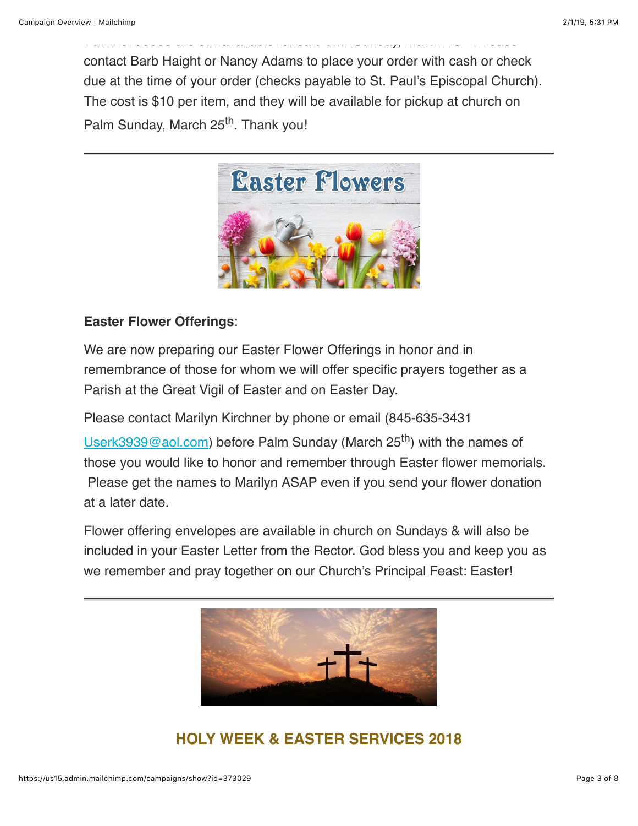contact Barb Haight or Nancy Adams to place your order with cash or check due at the time of your order (checks payable to St. Paul's Episcopal Church). The cost is \$10 per item, and they will be available for pickup at church on Palm Sunday, March 25<sup>th</sup>. Thank you!

**Palm Crosses** are still available for sale until Sunday, March 18th. Please



#### **Easter Flower Offerings**:

We are now preparing our Easter Flower Offerings in honor and in remembrance of those for whom we will offer specific prayers together as a Parish at the Great Vigil of Easter and on Easter Day.

Please contact Marilyn Kirchner by phone or email (845-635-3431 [Userk3939@aol.com](mailto:Userk3939@aol.com)) before Palm Sunday (March 25<sup>th</sup>) with the names of those you would like to honor and remember through Easter flower memorials. Please get the names to Marilyn ASAP even if you send your flower donation at a later date.

Flower offering envelopes are available in church on Sundays & will also be included in your Easter Letter from the Rector. God bless you and keep you as we remember and pray together on our Church's Principal Feast: Easter!



# **HOLY WEEK & EASTER SERVICES 2018**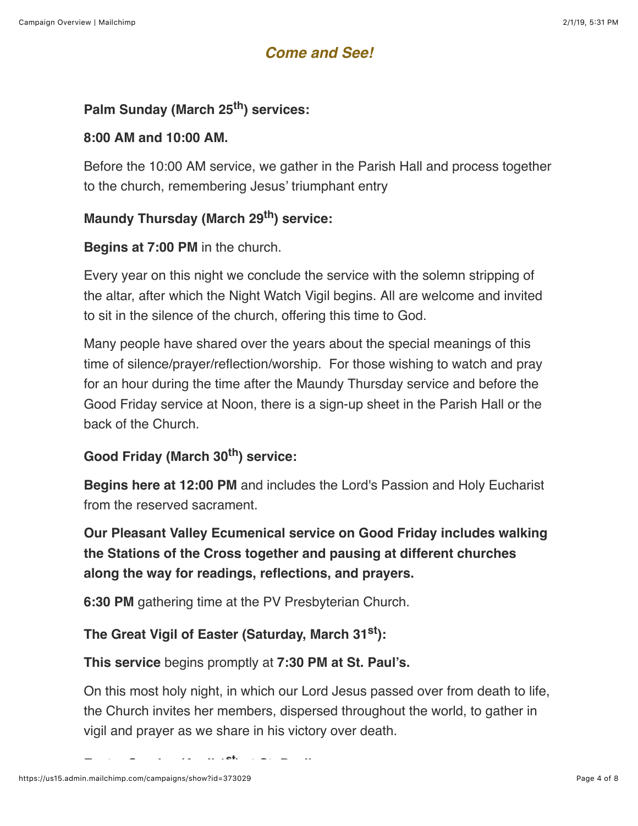# *Come and See!*

#### **Palm Sunday (March 25th) services:**

#### **8:00 AM and 10:00 AM.**

Before the 10:00 AM service, we gather in the Parish Hall and process together to the church, remembering Jesus' triumphant entry

#### **Maundy Thursday (March 29th) service:**

#### **Begins at 7:00 PM** in the church.

Every year on this night we conclude the service with the solemn stripping of the altar, after which the Night Watch Vigil begins. All are welcome and invited to sit in the silence of the church, offering this time to God.

Many people have shared over the years about the special meanings of this time of silence/prayer/reflection/worship. For those wishing to watch and pray for an hour during the time after the Maundy Thursday service and before the Good Friday service at Noon, there is a sign-up sheet in the Parish Hall or the back of the Church.

#### **Good Friday (March 30th) service:**

**Begins here at 12:00 PM** and includes the Lord's Passion and Holy Eucharist from the reserved sacrament.

**Our Pleasant Valley Ecumenical service on Good Friday includes walking the Stations of the Cross together and pausing at different churches along the way for readings, reflections, and prayers.** 

**6:30 PM** gathering time at the PV Presbyterian Church.

#### **The Great Vigil of Easter (Saturday, March 31st):**

**This service** begins promptly at **7:30 PM at St. Paul's.**

On this most holy night, in which our Lord Jesus passed over from death to life, the Church invites her members, dispersed throughout the world, to gather in vigil and prayer as we share in his victory over death.

**Easter Sunday (April 1st) at St. Paul's:**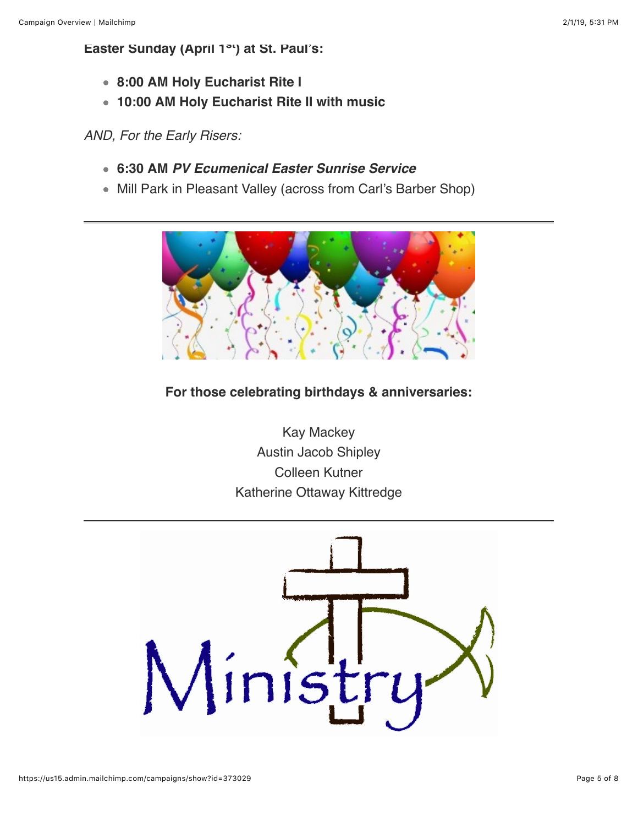#### **Easter Sunday (April 1st) at St. Paul's:**

- **8:00 AM Holy Eucharist Rite I**
- **10:00 AM Holy Eucharist Rite II with music**

*AND, For the Early Risers:*

- **6:30 AM** *PV Ecumenical Easter Sunrise Service*
- Mill Park in Pleasant Valley (across from Carl's Barber Shop)



#### **For those celebrating birthdays & anniversaries:**

Kay Mackey Austin Jacob Shipley Colleen Kutner Katherine Ottaway Kittredge

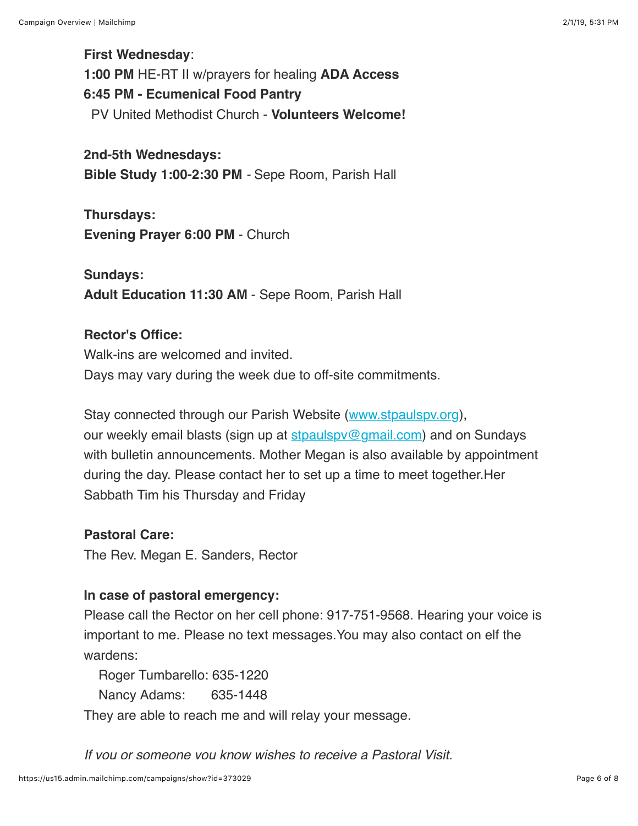#### **First Wednesday**:

**1:00 PM** HE-RT II w/prayers for healing **ADA Access**

# **6:45 PM - Ecumenical Food Pantry**

PV United Methodist Church - **Volunteers Welcome!**

#### **2nd-5th Wednesdays:**

**Bible Study 1:00-2:30 PM** *-* Sepe Room, Parish Hall

# **Thursdays: Evening Prayer 6:00 PM** - Church

# **Sundays: Adult Education 11:30 AM** - Sepe Room, Parish Hall

#### **Rector's Office:**

Walk-ins are welcomed and invited. Days may vary during the week due to off-site commitments.

Stay connected through our Parish Website ([www.stpaulspv.org\)](http://www.stpaulspv.org/), our weekly email blasts (sign up at  $\frac{\text{stpaulspv@gmail.com}}{\text{gmail.com}}$ ) and on Sundays with bulletin announcements. Mother Megan is also available by appointment during the day. Please contact her to set up a time to meet together.Her Sabbath Tim his Thursday and Friday

#### **Pastoral Care:**

The Rev. Megan E. Sanders, Rector

#### **In case of pastoral emergency:**

Please call the Rector on her cell phone: 917-751-9568. Hearing your voice is important to me. Please no text messages.You may also contact on elf the wardens:

Roger Tumbarello: 635-1220

Nancy Adams: 635-1448

They are able to reach me and will relay your message.

*If you or someone you know wishes to receive a Pastoral Visit,*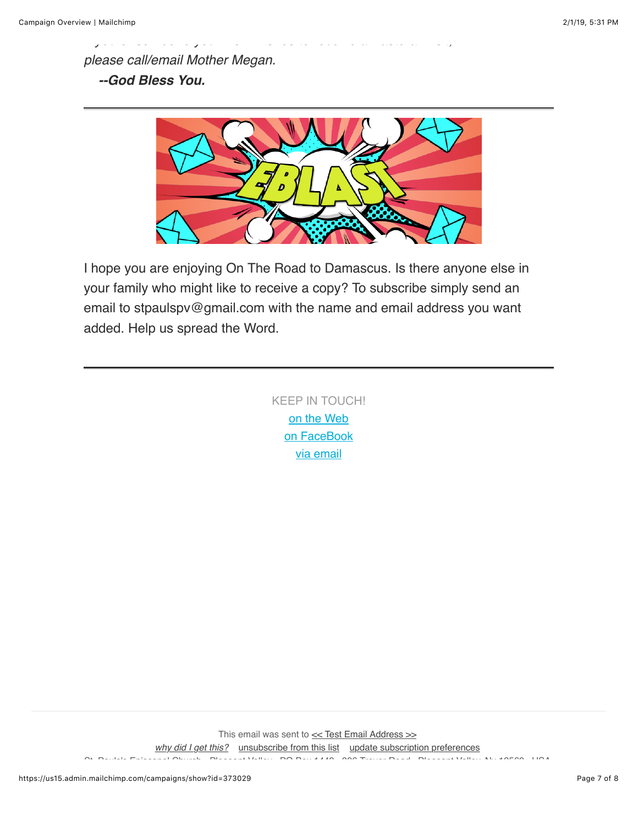*please call/email Mother Megan. --God Bless You.*



*If you or someone you know wishes to receive a Pastoral Visit,*

I hope you are enjoying On The Road to Damascus. Is there anyone else in your family who might like to receive a copy? To subscribe simply send an email to stpaulspv@gmail.com with the name and email address you want added. Help us spread the Word.

> KEEP IN TOUCH! [o](http://stpaulspv.org/)[n the Web](http://www.stpaulspv.org/) [on FaceBook](https://www.facebook.com/stpaulspleasantvalley/) [via email](mailto:stpaulspv@gmail)

This email was sent to  $\leq$  Test Email Address  $\gg$ *[why did I get this?](https://stpaulspv.us15.list-manage.com/about?u=3b25c5a57b31a98c4b91ce167&id=da84c8835f&e=%5BUNIQID%5D&c=3ba3687285)* [unsubscribe from this list](https://stpaulspv.us15.list-manage.com/unsubscribe?u=3b25c5a57b31a98c4b91ce167&id=da84c8835f&e=%5BUNIQID%5D&c=3ba3687285) [update subscription preferences](https://stpaulspv.us15.list-manage.com/profile?u=3b25c5a57b31a98c4b91ce167&id=da84c8835f&e=%5BUNIQID%5D) St. Pauls's Episcopal Church - Pleasant Valley · PO Box 1449 · 806 Traver Road · Pleasant Valley, Ny 12569 · USA